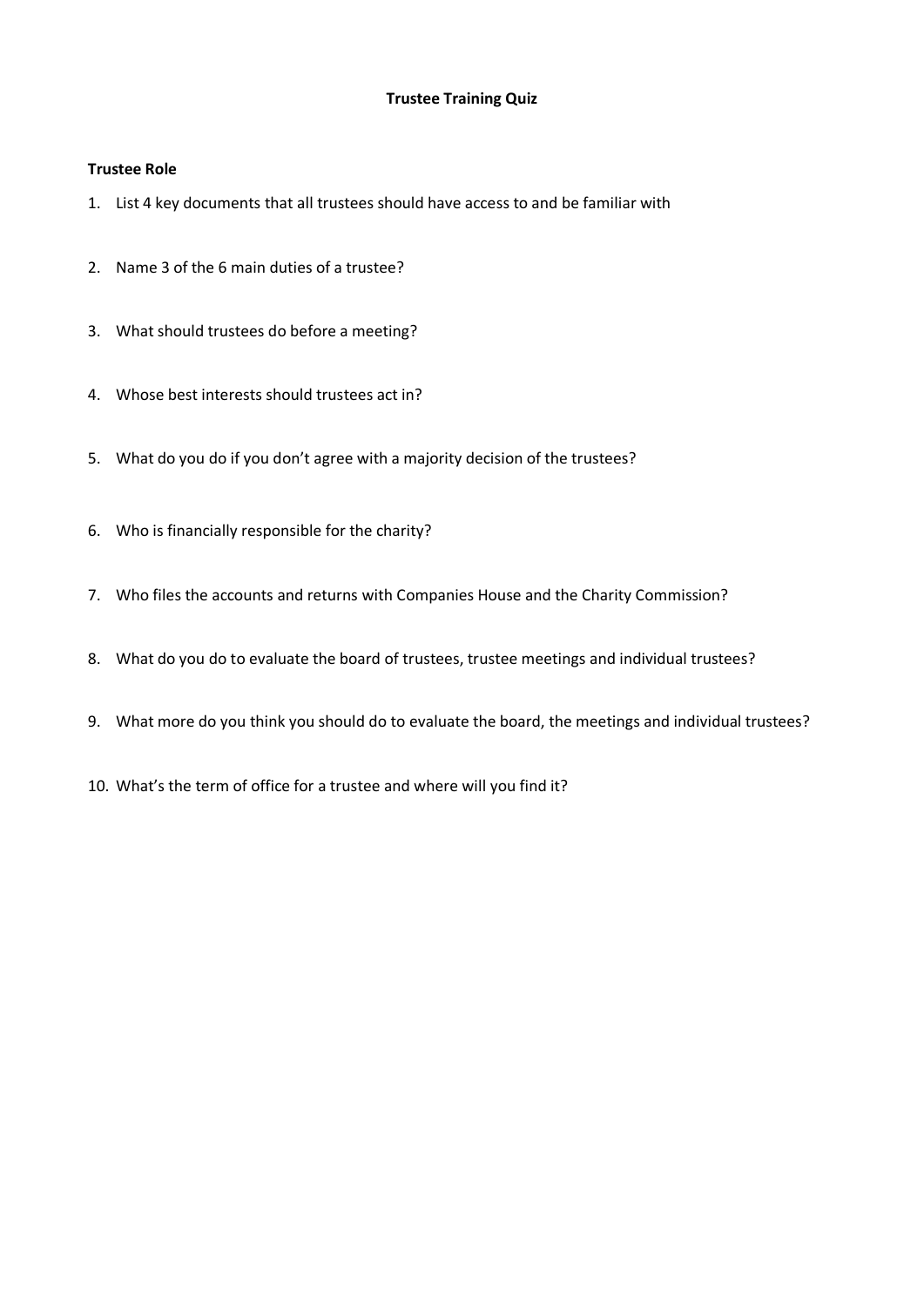## **Trustee Training Quiz**

## **Trustee Role**

- 1. List 4 key documents that all trustees should have access to and be familiar with
- 2. Name 3 of the 6 main duties of a trustee?
- 3. What should trustees do before a meeting?
- 4. Whose best interests should trustees act in?
- 5. What do you do if you don't agree with a majority decision of the trustees?
- 6. Who is financially responsible for the charity?
- 7. Who files the accounts and returns with Companies House and the Charity Commission?
- 8. What do you do to evaluate the board of trustees, trustee meetings and individual trustees?
- 9. What more do you think you should do to evaluate the board, the meetings and individual trustees?
- 10. What's the term of office for a trustee and where will you find it?